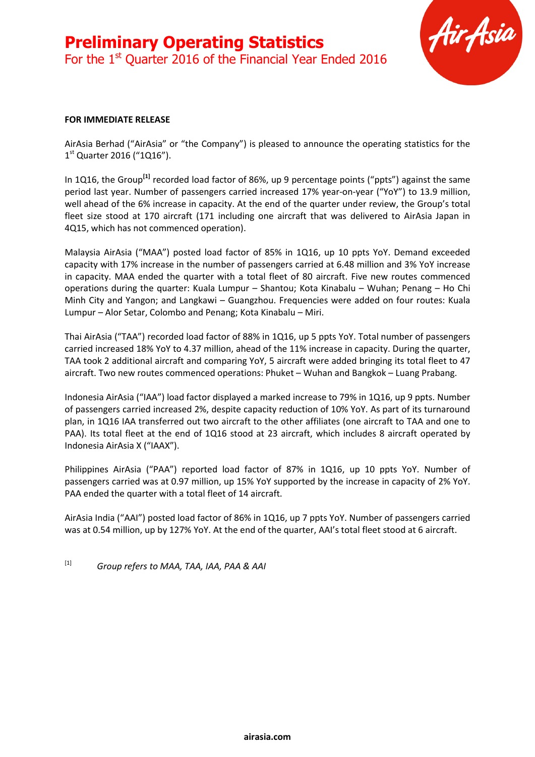

#### **FOR IMMEDIATE RELEASE**

AirAsia Berhad ("AirAsia" or "the Company") is pleased to announce the operating statistics for the 1<sup>st</sup> Quarter 2016 ("1Q16").

In 1Q16, the Group<sup>[1]</sup> recorded load factor of 86%, up 9 percentage points ("ppts") against the same period last year. Number of passengers carried increased 17% year-on-year ("YoY") to 13.9 million, well ahead of the 6% increase in capacity. At the end of the quarter under review, the Group's total fleet size stood at 170 aircraft (171 including one aircraft that was delivered to AirAsia Japan in 4Q15, which has not commenced operation).

Malaysia AirAsia ("MAA") posted load factor of 85% in 1Q16, up 10 ppts YoY. Demand exceeded capacity with 17% increase in the number of passengers carried at 6.48 million and 3% YoY increase in capacity. MAA ended the quarter with a total fleet of 80 aircraft. Five new routes commenced operations during the quarter: Kuala Lumpur – Shantou; Kota Kinabalu – Wuhan; Penang – Ho Chi Minh City and Yangon; and Langkawi – Guangzhou. Frequencies were added on four routes: Kuala Lumpur – Alor Setar, Colombo and Penang; Kota Kinabalu – Miri.

Thai AirAsia ("TAA") recorded load factor of 88% in 1Q16, up 5 ppts YoY. Total number of passengers carried increased 18% YoY to 4.37 million, ahead of the 11% increase in capacity. During the quarter, TAA took 2 additional aircraft and comparing YoY, 5 aircraft were added bringing its total fleet to 47 aircraft. Two new routes commenced operations: Phuket – Wuhan and Bangkok – Luang Prabang.

Indonesia AirAsia ("IAA") load factor displayed a marked increase to 79% in 1Q16, up 9 ppts. Number of passengers carried increased 2%, despite capacity reduction of 10% YoY. As part of its turnaround plan, in 1Q16 IAA transferred out two aircraft to the other affiliates (one aircraft to TAA and one to PAA). Its total fleet at the end of 1Q16 stood at 23 aircraft, which includes 8 aircraft operated by Indonesia AirAsia X ("IAAX").

Philippines AirAsia ("PAA") reported load factor of 87% in 1Q16, up 10 ppts YoY. Number of passengers carried was at 0.97 million, up 15% YoY supported by the increase in capacity of 2% YoY. PAA ended the quarter with a total fleet of 14 aircraft.

AirAsia India ("AAI") posted load factor of 86% in 1Q16, up 7 ppts YoY. Number of passengers carried was at 0.54 million, up by 127% YoY. At the end of the quarter, AAI's total fleet stood at 6 aircraft.

[1] *Group refers to MAA, TAA, IAA, PAA & AAI*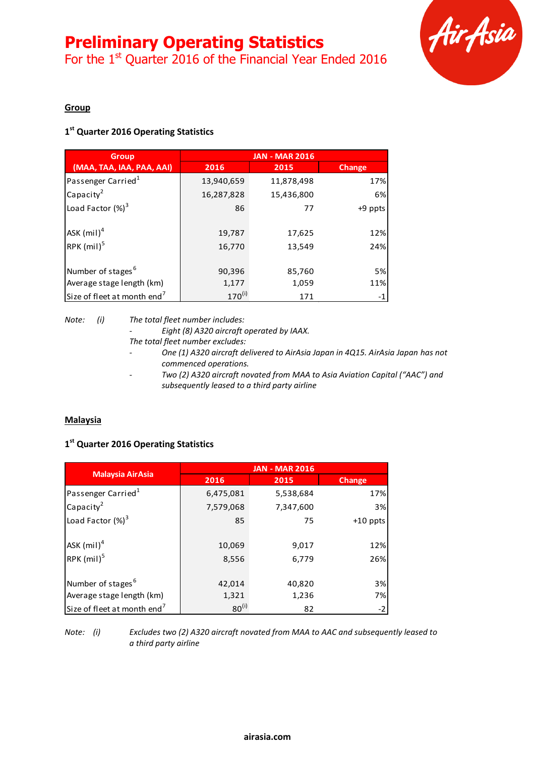For the 1<sup>st</sup> Quarter 2016 of the Financial Year Ended 2016



## **Group**

## **1 st Quarter 2016 Operating Statistics**

| <b>Group</b>                            | <b>JAN - MAR 2016</b> |            |         |
|-----------------------------------------|-----------------------|------------|---------|
| (MAA, TAA, IAA, PAA, AAI)               | 2016                  | 2015       | Change  |
| Passenger Carried <sup>1</sup>          | 13,940,659            | 11,878,498 | 17%     |
| Capacity <sup>2</sup>                   | 16,287,828            | 15,436,800 | 6%      |
| Load Factor $(\%)^3$                    | 86                    | 77         | +9 ppts |
| ASK $(mil)^4$                           | 19,787                | 17,625     | 12%     |
| RPK $(mil)^5$                           | 16,770                | 13,549     | 24%     |
| Number of stages <sup>6</sup>           | 90,396                | 85,760     | 5%      |
| Average stage length (km)               | 1,177                 | 1,059      | 11%     |
| Size of fleet at month end <sup>7</sup> | $170^{(i)}$           | 171        | $-1$    |

*Note: (i) The total fleet number includes:*

*- Eight (8) A320 aircraft operated by IAAX.*

*The total fleet number excludes:*

- *- One (1) A320 aircraft delivered to AirAsia Japan in 4Q15. AirAsia Japan has not commenced operations.*
- *- Two (2) A320 aircraft novated from MAA to Asia Aviation Capital ("AAC") and subsequently leased to a third party airline*

## **Malaysia**

## **1 st Quarter 2016 Operating Statistics**

|                                         | <b>JAN - MAR 2016</b> |           |               |  |
|-----------------------------------------|-----------------------|-----------|---------------|--|
| <b>Malaysia AirAsia</b>                 | 2016                  | 2015      | <b>Change</b> |  |
| Passenger Carried <sup>1</sup>          | 6,475,081             | 5,538,684 | 17%           |  |
| Capacity <sup>2</sup>                   | 7,579,068             | 7,347,600 | 3%            |  |
| Load Factor $(\%)^3$                    | 85                    | 75        | $+10$ ppts    |  |
| ASK $(mil)^4$                           | 10,069                | 9,017     | 12%           |  |
| RPK $(mil)^5$                           | 8,556                 | 6,779     | 26%           |  |
| Number of stages <sup>6</sup>           | 42,014                | 40,820    | 3%            |  |
| Average stage length (km)               | 1,321                 | 1,236     | 7%I           |  |
| Size of fleet at month end <sup>7</sup> | $80^{(i)}$            | 82        | $-2$          |  |

*Note: (i) Excludes two (2) A320 aircraft novated from MAA to AAC and subsequently leased to a third party airline*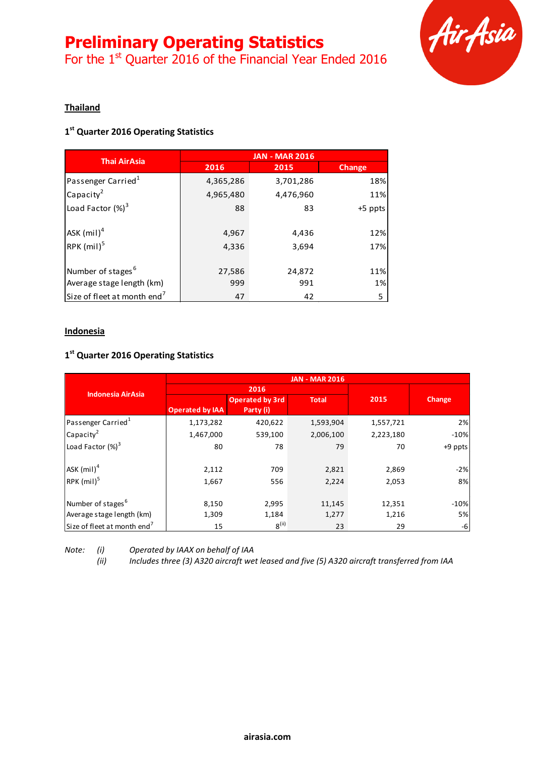For the  $1<sup>st</sup>$  Quarter 2016 of the Financial Year Ended 2016



## **Thailand**

## **1 st Quarter 2016 Operating Statistics**

|                                         | <b>JAN - MAR 2016</b> |           |         |  |
|-----------------------------------------|-----------------------|-----------|---------|--|
| <b>Thai AirAsia</b>                     | 2016                  | 2015      | Change  |  |
| Passenger Carried <sup>1</sup>          | 4,365,286             | 3,701,286 | 18%     |  |
| Capacity <sup>2</sup>                   | 4,965,480             | 4,476,960 | 11%     |  |
| Load Factor $(\%)^3$                    | 88                    | 83        | +5 ppts |  |
| ASK $(mil)^4$                           | 4,967                 | 4,436     | 12%     |  |
| RPK $(mil)^5$                           | 4,336                 | 3,694     | 17%     |  |
| Number of stages <sup>6</sup>           | 27,586                | 24,872    | 11%     |  |
| Average stage length (km)               | 999                   | 991       | 1%      |  |
| Size of fleet at month end <sup>7</sup> | 47                    | 42        | 5       |  |

## **Indonesia**

# **1 st Quarter 2016 Operating Statistics**

|                                         |                        |                        | <b>JAN - MAR 2016</b> |           |           |
|-----------------------------------------|------------------------|------------------------|-----------------------|-----------|-----------|
| <b>Indonesia AirAsia</b>                | 2016                   |                        |                       |           |           |
|                                         |                        | <b>Operated by 3rd</b> | <b>Total</b>          | 2015      | Change    |
|                                         | <b>Operated by IAA</b> | Party (i)              |                       |           |           |
| Passenger Carried <sup>1</sup>          | 1,173,282              | 420,622                | 1,593,904             | 1,557,721 | 2%        |
| Capacity <sup>2</sup>                   | 1,467,000              | 539,100                | 2,006,100             | 2,223,180 | $-10%$    |
| Load Factor $(\%)^3$                    | 80                     | 78                     | 79                    | 70        | $+9$ ppts |
| $ASK$ (mil) <sup>4</sup>                | 2,112                  | 709                    | 2,821                 | 2,869     | $-2%$     |
| $RPK$ (mil) <sup>5</sup>                | 1,667                  | 556                    | 2,224                 | 2,053     | 8%        |
| Number of stages <sup>6</sup>           | 8,150                  | 2,995                  | 11,145                | 12,351    | $-10%$    |
| Average stage length (km)               | 1,309                  | 1,184                  | 1,277                 | 1,216     | 5%        |
| Size of fleet at month end <sup>7</sup> | 15                     | 8 <sup>(ii)</sup>      | 23                    | 29        | -6        |

*Note: (i) Operated by IAAX on behalf of IAA*

*(ii) Includes three (3) A320 aircraft wet leased and five (5) A320 aircraft transferred from IAA*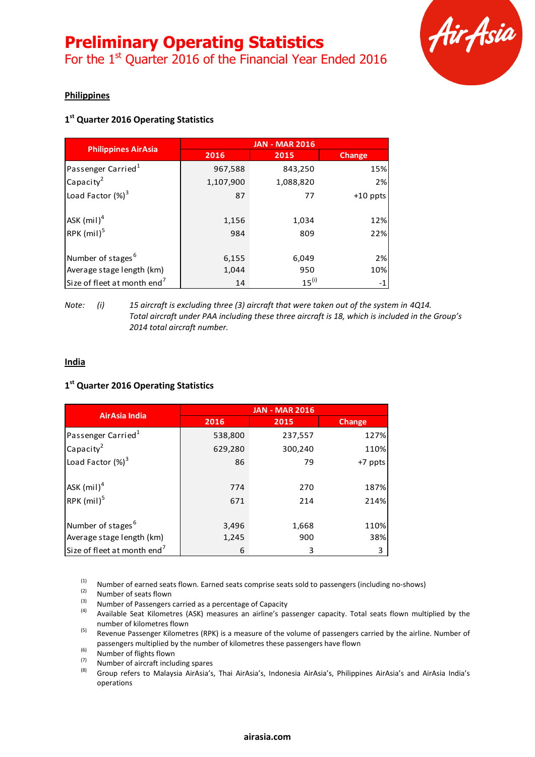

## **Philippines**

# **1 st Quarter 2016 Operating Statistics**

|                                         | <b>JAN - MAR 2016</b> |            |               |  |
|-----------------------------------------|-----------------------|------------|---------------|--|
| <b>Philippines AirAsia</b>              | 2016                  | 2015       | <b>Change</b> |  |
| Passenger Carried <sup>1</sup>          | 967,588               | 843,250    | 15%           |  |
| Capacity <sup>2</sup>                   | 1,107,900             | 1,088,820  | 2%            |  |
| Load Factor $(\%)^3$                    | 87                    | 77         | $+10$ ppts    |  |
| $ASK$ (mil) <sup>4</sup>                | 1,156                 | 1,034      | 12%           |  |
| RPK $(mil)^5$                           | 984                   | 809        | 22%           |  |
| Number of stages <sup>6</sup>           | 6,155                 | 6,049      | 2%            |  |
| Average stage length (km)               | 1,044                 | 950        | 10%           |  |
| Size of fleet at month end <sup>7</sup> | 14                    | $15^{(i)}$ | $-1$          |  |

#### *Note:* (i) 15 aircraft is excluding three (3) aircraft that were taken out of the system in 4Q14. *Total aircraft under PAA including these three aircraft is 18, which is included in the Group's 2014 total aircraft number.*

## **India**

## **1 st Quarter 2016 Operating Statistics**

| <b>AirAsia India</b>                    | <b>JAN - MAR 2016</b> |         |               |  |
|-----------------------------------------|-----------------------|---------|---------------|--|
|                                         | 2016                  | 2015    | <b>Change</b> |  |
| Passenger Carried <sup>1</sup>          | 538,800               | 237,557 | 127%          |  |
| Capacity <sup>2</sup>                   | 629,280               | 300,240 | 110%          |  |
| Load Factor $(\%)^3$                    | 86                    | 79      | +7 ppts       |  |
| ASK $(mil)^4$                           | 774                   | 270     | 187%          |  |
| RPK $(mil)^5$                           | 671                   | 214     | 214%          |  |
| Number of stages <sup>6</sup>           | 3,496                 | 1,668   | 110%          |  |
| Average stage length (km)               | 1,245                 | 900     | 38%           |  |
| Size of fleet at month end <sup>7</sup> | 6                     | 3       | 3             |  |

(1) Number of earned seats flown. Earned seats comprise seats sold to passengers (including no-shows)

 $\frac{1}{2}$  Number of seats flown

(3) Number of Passengers carried as a percentage of Capacity<br>(4) Available Seat Kilometres (ASK) moneyres an airline's na

Available Seat Kilometres (ASK) measures an airline's passenger capacity. Total seats flown multiplied by the number of kilometres flown

<sup>(5)</sup> Revenue Passenger Kilometres (RPK) is a measure of the volume of passengers carried by the airline. Number of passengers multiplied by the number of kilometres these passengers have flown

 $(6)$  Number of flights flown

(7) Number of aircraft including spares<br>(8) Group refers to Malaysia AirAsia's

Group refers to Malaysia AirAsia's, Thai AirAsia's, Indonesia AirAsia's, Philippines AirAsia's and AirAsia India's operations